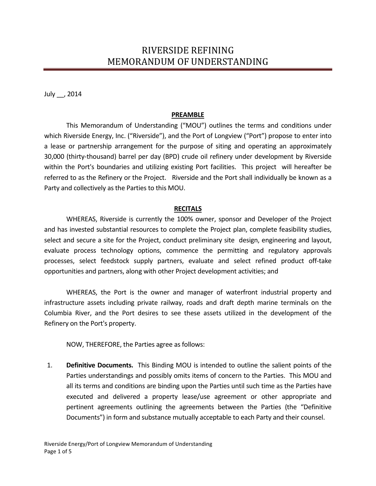## RIVERSIDE REFINING MEMORANDUM OF UNDERSTANDING

July \_\_, 2014

## **PREAMBLE**

This Memorandum of Understanding ("MOU") outlines the terms and conditions under which Riverside Energy, Inc. ("Riverside"), and the Port of Longview ("Port") propose to enter into a lease or partnership arrangement for the purpose of siting and operating an approximately 30,000 (thirty-thousand) barrel per day (BPD) crude oil refinery under development by Riverside within the Port's boundaries and utilizing existing Port facilities. This project will hereafter be referred to as the Refinery or the Project. Riverside and the Port shall individually be known as a Party and collectively as the Parties to this MOU.

## **RECITALS**

WHEREAS, Riverside is currently the 100% owner, sponsor and Developer of the Project and has invested substantial resources to complete the Project plan, complete feasibility studies, select and secure a site for the Project, conduct preliminary site design, engineering and layout, evaluate process technology options, commence the permitting and regulatory approvals processes, select feedstock supply partners, evaluate and select refined product off-take opportunities and partners, along with other Project development activities; and

WHEREAS, the Port is the owner and manager of waterfront industrial property and infrastructure assets including private railway, roads and draft depth marine terminals on the Columbia River, and the Port desires to see these assets utilized in the development of the Refinery on the Port's property.

NOW, THEREFORE, the Parties agree as follows:

1. **Definitive Documents.** This Binding MOU is intended to outline the salient points of the Parties understandings and possibly omits items of concern to the Parties. This MOU and all its terms and conditions are binding upon the Parties until such time as the Parties have executed and delivered a property lease/use agreement or other appropriate and pertinent agreements outlining the agreements between the Parties (the "Definitive Documents") in form and substance mutually acceptable to each Party and their counsel.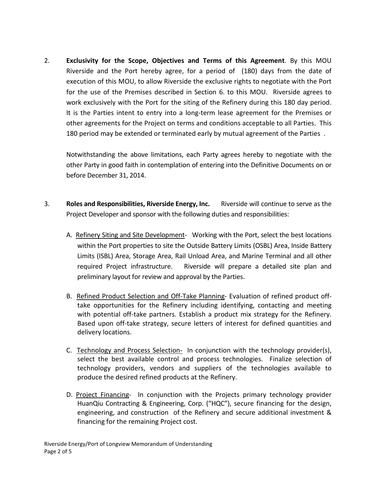2. **Exclusivity for the Scope, Objectives and Terms of this Agreement**. By this MOU Riverside and the Port hereby agree, for a period of (180) days from the date of execution of this MOU, to allow Riverside the exclusive rights to negotiate with the Port for the use of the Premises described in Section 6. to this MOU. Riverside agrees to work exclusively with the Port for the siting of the Refinery during this 180 day period. It is the Parties intent to entry into a long-term lease agreement for the Premises or other agreements for the Project on terms and conditions acceptable to all Parties. This 180 period may be extended or terminated early by mutual agreement of the Parties .

Notwithstanding the above limitations, each Party agrees hereby to negotiate with the other Party in good faith in contemplation of entering into the Definitive Documents on or before December 31, 2014.

- 3. **Roles and Responsibilities, Riverside Energy, Inc.** Riverside will continue to serve as the Project Developer and sponsor with the following duties and responsibilities:
	- A. Refinery Siting and Site Development- Working with the Port, select the best locations within the Port properties to site the Outside Battery Limits (OSBL) Area, Inside Battery Limits (ISBL) Area, Storage Area, Rail Unload Area, and Marine Terminal and all other required Project infrastructure. Riverside will prepare a detailed site plan and preliminary layout for review and approval by the Parties.
	- B. Refined Product Selection and Off-Take Planning- Evaluation of refined product offtake opportunities for the Refinery including identifying, contacting and meeting with potential off-take partners. Establish a product mix strategy for the Refinery. Based upon off-take strategy, secure letters of interest for defined quantities and delivery locations.
	- C. Technology and Process Selection- In conjunction with the technology provider(s), select the best available control and process technologies. Finalize selection of technology providers, vendors and suppliers of the technologies available to produce the desired refined products at the Refinery.
	- D. Project Financing- In conjunction with the Projects primary technology provider HuanQiu Contracting & Engineering, Corp. ("HQC"), secure financing for the design, engineering, and construction of the Refinery and secure additional investment & financing for the remaining Project cost.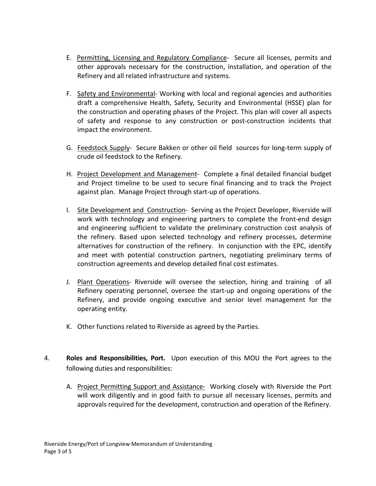- E. Permitting, Licensing and Regulatory Compliance- Secure all licenses, permits and other approvals necessary for the construction, installation, and operation of the Refinery and all related infrastructure and systems.
- F. Safety and Environmental- Working with local and regional agencies and authorities draft a comprehensive Health, Safety, Security and Environmental (HSSE) plan for the construction and operating phases of the Project. This plan will cover all aspects of safety and response to any construction or post-construction incidents that impact the environment.
- G. Feedstock Supply- Secure Bakken or other oil field sources for long-term supply of crude oil feedstock to the Refinery.
- H. Project Development and Management- Complete a final detailed financial budget and Project timeline to be used to secure final financing and to track the Project against plan. Manage Project through start-up of operations.
- I. Site Development and Construction- Serving as the Project Developer, Riverside will work with technology and engineering partners to complete the front-end design and engineering sufficient to validate the preliminary construction cost analysis of the refinery. Based upon selected technology and refinery processes, determine alternatives for construction of the refinery. In conjunction with the EPC, identify and meet with potential construction partners, negotiating preliminary terms of construction agreements and develop detailed final cost estimates.
- J. Plant Operations- Riverside will oversee the selection, hiring and training of all Refinery operating personnel, oversee the start-up and ongoing operations of the Refinery, and provide ongoing executive and senior level management for the operating entity.
- K. Other functions related to Riverside as agreed by the Parties.
- 4. **Roles and Responsibilities, Port.** Upon execution of this MOU the Port agrees to the following duties and responsibilities:
	- A. Project Permitting Support and Assistance- Working closely with Riverside the Port will work diligently and in good faith to pursue all necessary licenses, permits and approvals required for the development, construction and operation of the Refinery.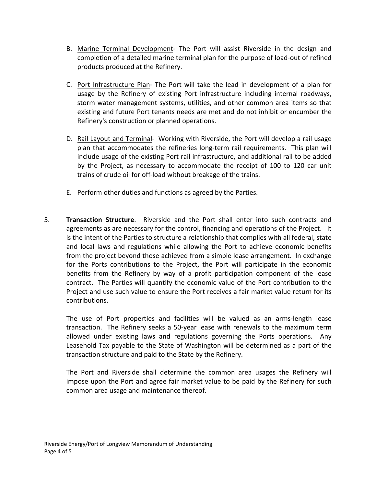- B. Marine Terminal Development- The Port will assist Riverside in the design and completion of a detailed marine terminal plan for the purpose of load-out of refined products produced at the Refinery.
- C. Port Infrastructure Plan- The Port will take the lead in development of a plan for usage by the Refinery of existing Port infrastructure including internal roadways, storm water management systems, utilities, and other common area items so that existing and future Port tenants needs are met and do not inhibit or encumber the Refinery's construction or planned operations.
- D. Rail Layout and Terminal- Working with Riverside, the Port will develop a rail usage plan that accommodates the refineries long-term rail requirements. This plan will include usage of the existing Port rail infrastructure, and additional rail to be added by the Project, as necessary to accommodate the receipt of 100 to 120 car unit trains of crude oil for off-load without breakage of the trains.
- E. Perform other duties and functions as agreed by the Parties.
- 5. **Transaction Structure**. Riverside and the Port shall enter into such contracts and agreements as are necessary for the control, financing and operations of the Project. It is the intent of the Parties to structure a relationship that complies with all federal, state and local laws and regulations while allowing the Port to achieve economic benefits from the project beyond those achieved from a simple lease arrangement. In exchange for the Ports contributions to the Project, the Port will participate in the economic benefits from the Refinery by way of a profit participation component of the lease contract. The Parties will quantify the economic value of the Port contribution to the Project and use such value to ensure the Port receives a fair market value return for its contributions.

The use of Port properties and facilities will be valued as an arms-length lease transaction. The Refinery seeks a 50-year lease with renewals to the maximum term allowed under existing laws and regulations governing the Ports operations. Any Leasehold Tax payable to the State of Washington will be determined as a part of the transaction structure and paid to the State by the Refinery.

The Port and Riverside shall determine the common area usages the Refinery will impose upon the Port and agree fair market value to be paid by the Refinery for such common area usage and maintenance thereof.